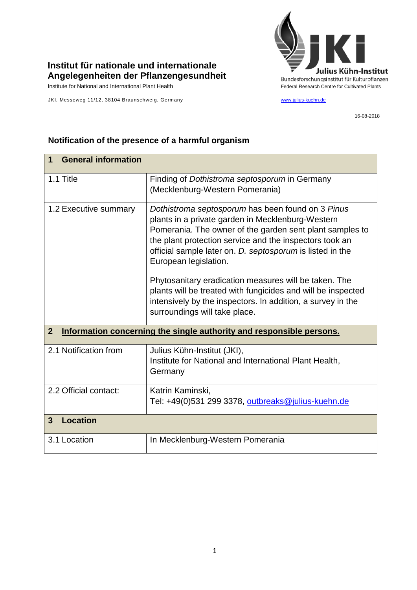

## **Institut für nationale und internationale Angelegenheiten der Pflanzengesundheit**

JKI, Messeweg 11/12, 38104 Braunschweig, Germany [www.julius-kuehn.de](http://www.julius-kuehn.de/)

16-08-2018

| <b>General information</b><br>1                                                        |                                                                                                                                                                                                                                                                                                                     |  |
|----------------------------------------------------------------------------------------|---------------------------------------------------------------------------------------------------------------------------------------------------------------------------------------------------------------------------------------------------------------------------------------------------------------------|--|
| 1.1 Title                                                                              | Finding of <i>Dothistroma septosporum</i> in Germany<br>(Mecklenburg-Western Pomerania)                                                                                                                                                                                                                             |  |
| 1.2 Executive summary                                                                  | Dothistroma septosporum has been found on 3 Pinus<br>plants in a private garden in Mecklenburg-Western<br>Pomerania. The owner of the garden sent plant samples to<br>the plant protection service and the inspectors took an<br>official sample later on. D. septosporum is listed in the<br>European legislation. |  |
|                                                                                        | Phytosanitary eradication measures will be taken. The<br>plants will be treated with fungicides and will be inspected<br>intensively by the inspectors. In addition, a survey in the<br>surroundings will take place.                                                                                               |  |
| $\overline{2}$<br>Information concerning the single authority and responsible persons. |                                                                                                                                                                                                                                                                                                                     |  |
| 2.1 Notification from                                                                  | Julius Kühn-Institut (JKI),<br>Institute for National and International Plant Health,<br>Germany                                                                                                                                                                                                                    |  |
| 2.2 Official contact:                                                                  | Katrin Kaminski,<br>Tel: +49(0)531 299 3378, outbreaks@julius-kuehn.de                                                                                                                                                                                                                                              |  |
| <b>Location</b><br>3                                                                   |                                                                                                                                                                                                                                                                                                                     |  |
| 3.1 Location                                                                           | In Mecklenburg-Western Pomerania                                                                                                                                                                                                                                                                                    |  |

## **Notification of the presence of a harmful organism**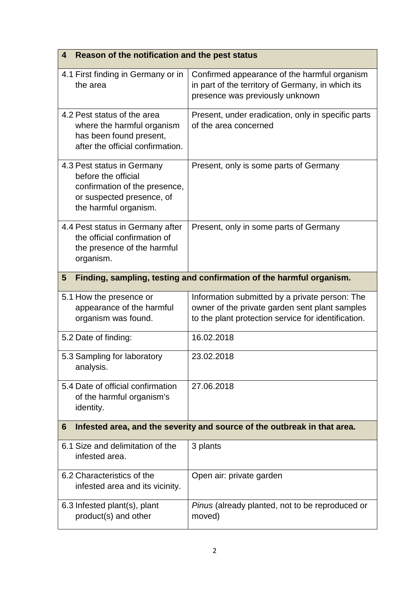| Reason of the notification and the pest status<br>4                                                                                      |                                                                                                                                                         |  |
|------------------------------------------------------------------------------------------------------------------------------------------|---------------------------------------------------------------------------------------------------------------------------------------------------------|--|
| 4.1 First finding in Germany or in<br>the area                                                                                           | Confirmed appearance of the harmful organism<br>in part of the territory of Germany, in which its<br>presence was previously unknown                    |  |
| 4.2 Pest status of the area<br>where the harmful organism<br>has been found present,<br>after the official confirmation.                 | Present, under eradication, only in specific parts<br>of the area concerned                                                                             |  |
| 4.3 Pest status in Germany<br>before the official<br>confirmation of the presence,<br>or suspected presence, of<br>the harmful organism. | Present, only is some parts of Germany                                                                                                                  |  |
| 4.4 Pest status in Germany after<br>the official confirmation of<br>the presence of the harmful<br>organism.                             | Present, only in some parts of Germany                                                                                                                  |  |
| Finding, sampling, testing and confirmation of the harmful organism.<br>$5\phantom{.0}$                                                  |                                                                                                                                                         |  |
| 5.1 How the presence or<br>appearance of the harmful<br>organism was found.                                                              | Information submitted by a private person: The<br>owner of the private garden sent plant samples<br>to the plant protection service for identification. |  |
| 5.2 Date of finding:                                                                                                                     | 16.02.2018                                                                                                                                              |  |
| 5.3 Sampling for laboratory<br>analysis.                                                                                                 | 23.02.2018                                                                                                                                              |  |
| 5.4 Date of official confirmation<br>of the harmful organism's<br>identity.                                                              | 27.06.2018                                                                                                                                              |  |
| Infested area, and the severity and source of the outbreak in that area.<br>6                                                            |                                                                                                                                                         |  |
| 6.1 Size and delimitation of the<br>infested area.                                                                                       | 3 plants                                                                                                                                                |  |
| 6.2 Characteristics of the<br>infested area and its vicinity.                                                                            | Open air: private garden                                                                                                                                |  |
| 6.3 Infested plant(s), plant<br>product(s) and other                                                                                     | Pinus (already planted, not to be reproduced or<br>moved)                                                                                               |  |